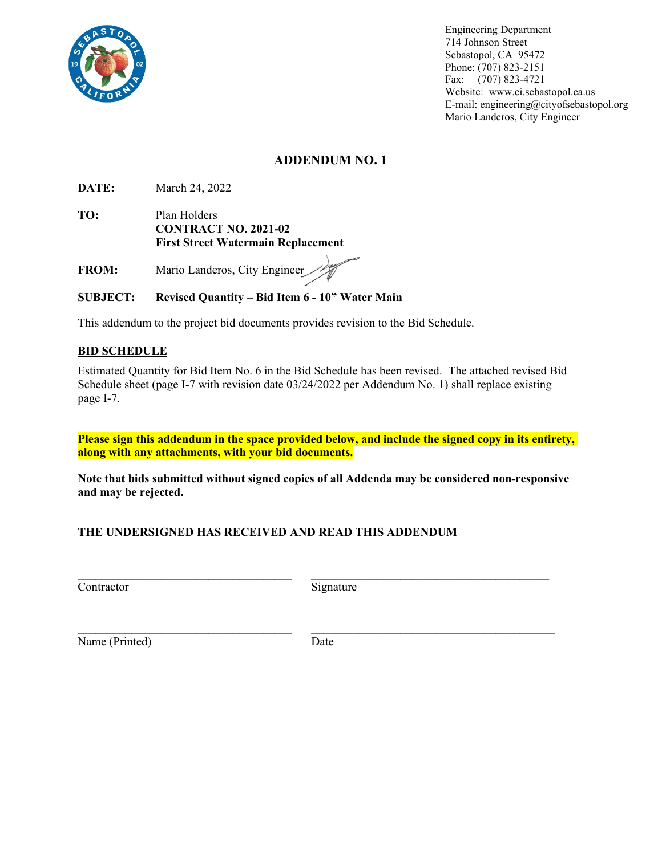

E-mail: engineering@cityofsebastopol.org Engineering Department 714 Johnson Street Sebastopol, CA 95472 Phone: (707) 823-2151 Fax: (707) 823-4721 Website: www.ci.sebastopol.ca.us Mario Landeros, City Engineer

# **ADDENDUM NO. 1**

**DATE:** March 24, 2022

**TO:** Plan Holders **CONTRACT NO. 2021-02 First Street Watermain Replacement** 

**FROM:** Mario Landeros, City Engineer

## **SUBJECT: Revised Quantity – Bid Item 6 - 10" Water Main**

This addendum to the project bid documents provides revision to the Bid Schedule.

#### **BID SCHEDULE**

Estimated Quantity for Bid Item No. 6 in the Bid Schedule has been revised. The attached revised Bid Schedule sheet (page I-7 with revision date 03/24/2022 per Addendum No. 1) shall replace existing page I-7.

**Please sign this addendum in the space provided below, and include the signed copy in its entirety, along with any attachments, with your bid documents.** 

**Note that bids submitted without signed copies of all Addenda may be considered non-responsive and may be rejected.** 

#### **THE UNDERSIGNED HAS RECEIVED AND READ THIS ADDENDUM**

Contractor Signature

Name (Printed) Date

 $\_$  , and the contribution of the contribution of  $\overline{\mathcal{L}}$  , and  $\overline{\mathcal{L}}$  , and  $\overline{\mathcal{L}}$  , and  $\overline{\mathcal{L}}$ 

 $\_$  , and the contribution of the contribution of  $\mathcal{L}_\mathcal{A}$  , and the contribution of  $\mathcal{L}_\mathcal{A}$